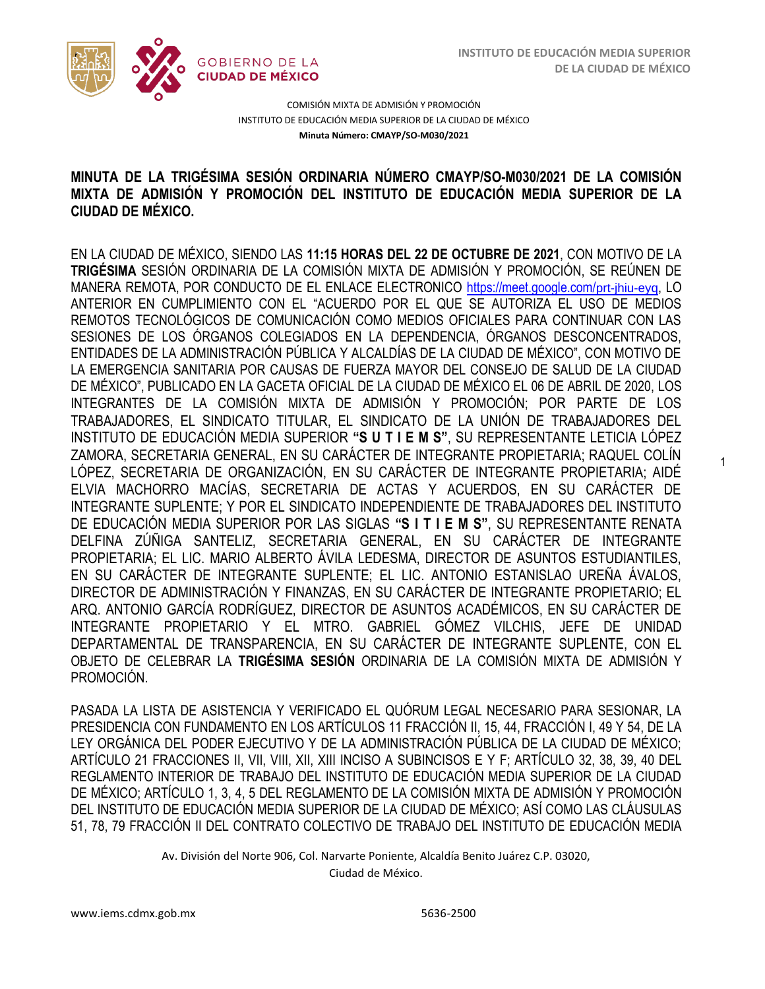1



COMISIÓN MIXTA DE ADMISIÓN Y PROMOCIÓN INSTITUTO DE EDUCACIÓN MEDIA SUPERIOR DE LA CIUDAD DE MÉXICO **Minuta Número: CMAYP/SO-M030/2021**

## /2020 **MINUTA DE LA TRIGÉSIMA SESIÓN ORDINARIA NÚMERO CMAYP/SO-M030/2021 DE LA COMISIÓN MIXTA DE ADMISIÓN Y PROMOCIÓN DEL INSTITUTO DE EDUCACIÓN MEDIA SUPERIOR DE LA CIUDAD DE MÉXICO.**

EN LA CIUDAD DE MÉXICO, SIENDO LAS **11:15 HORAS DEL 22 DE OCTUBRE DE 2021**, CON MOTIVO DE LA **TRIGÉSIMA** SESIÓN ORDINARIA DE LA COMISIÓN MIXTA DE ADMISIÓN Y PROMOCIÓN, SE REÚNEN DE MANERA REMOTA, POR CONDUCTO DE EL ENLACE ELECTRONICO [https://meet.google.com/](https://meet.google.com/prt-jhiu-eyq)prt-jhiu-eyq, LO ANTERIOR EN CUMPLIMIENTO CON EL "ACUERDO POR EL QUE SE AUTORIZA EL USO DE MEDIOS REMOTOS TECNOLÓGICOS DE COMUNICACIÓN COMO MEDIOS OFICIALES PARA CONTINUAR CON LAS SESIONES DE LOS ÓRGANOS COLEGIADOS EN LA DEPENDENCIA, ÓRGANOS DESCONCENTRADOS, ENTIDADES DE LA ADMINISTRACIÓN PÚBLICA Y ALCALDÍAS DE LA CIUDAD DE MÉXICO", CON MOTIVO DE LA EMERGENCIA SANITARIA POR CAUSAS DE FUERZA MAYOR DEL CONSEJO DE SALUD DE LA CIUDAD DE MÉXICO", PUBLICADO EN LA GACETA OFICIAL DE LA CIUDAD DE MÉXICO EL 06 DE ABRIL DE 2020, LOS INTEGRANTES DE LA COMISIÓN MIXTA DE ADMISIÓN Y PROMOCIÓN; POR PARTE DE LOS TRABAJADORES, EL SINDICATO TITULAR, EL SINDICATO DE LA UNIÓN DE TRABAJADORES DEL INSTITUTO DE EDUCACIÓN MEDIA SUPERIOR **"S U T I E M S"**, SU REPRESENTANTE LETICIA LÓPEZ ZAMORA, SECRETARIA GENERAL, EN SU CARÁCTER DE INTEGRANTE PROPIETARIA; RAQUEL COLÍN LÓPEZ, SECRETARIA DE ORGANIZACIÓN, EN SU CARÁCTER DE INTEGRANTE PROPIETARIA; AIDÉ ELVIA MACHORRO MACÍAS, SECRETARIA DE ACTAS Y ACUERDOS, EN SU CARÁCTER DE INTEGRANTE SUPLENTE; Y POR EL SINDICATO INDEPENDIENTE DE TRABAJADORES DEL INSTITUTO DE EDUCACIÓN MEDIA SUPERIOR POR LAS SIGLAS **"S I T I E M S"**, SU REPRESENTANTE RENATA DELFINA ZÚÑIGA SANTELIZ, SECRETARIA GENERAL, EN SU CARÁCTER DE INTEGRANTE PROPIETARIA; EL LIC. MARIO ALBERTO ÁVILA LEDESMA, DIRECTOR DE ASUNTOS ESTUDIANTILES, EN SU CARÁCTER DE INTEGRANTE SUPLENTE; EL LIC. ANTONIO ESTANISLAO UREÑA ÁVALOS, DIRECTOR DE ADMINISTRACIÓN Y FINANZAS, EN SU CARÁCTER DE INTEGRANTE PROPIETARIO; EL ARQ. ANTONIO GARCÍA RODRÍGUEZ, DIRECTOR DE ASUNTOS ACADÉMICOS, EN SU CARÁCTER DE INTEGRANTE PROPIETARIO Y EL MTRO. GABRIEL GÓMEZ VILCHIS, JEFE DE UNIDAD DEPARTAMENTAL DE TRANSPARENCIA, EN SU CARÁCTER DE INTEGRANTE SUPLENTE, CON EL OBJETO DE CELEBRAR LA **TRIGÉSIMA SESIÓN** ORDINARIA DE LA COMISIÓN MIXTA DE ADMISIÓN Y PROMOCIÓN.

PASADA LA LISTA DE ASISTENCIA Y VERIFICADO EL QUÓRUM LEGAL NECESARIO PARA SESIONAR, LA PRESIDENCIA CON FUNDAMENTO EN LOS ARTÍCULOS 11 FRACCIÓN II, 15, 44, FRACCIÓN I, 49 Y 54, DE LA LEY ORGÁNICA DEL PODER EJECUTIVO Y DE LA ADMINISTRACIÓN PÚBLICA DE LA CIUDAD DE MÉXICO; ARTÍCULO 21 FRACCIONES II, VII, VIII, XII, XIII INCISO A SUBINCISOS E Y F; ARTÍCULO 32, 38, 39, 40 DEL REGLAMENTO INTERIOR DE TRABAJO DEL INSTITUTO DE EDUCACIÓN MEDIA SUPERIOR DE LA CIUDAD DE MÉXICO; ARTÍCULO 1, 3, 4, 5 DEL REGLAMENTO DE LA COMISIÓN MIXTA DE ADMISIÓN Y PROMOCIÓN DEL INSTITUTO DE EDUCACIÓN MEDIA SUPERIOR DE LA CIUDAD DE MÉXICO; ASÍ COMO LAS CLÁUSULAS 51, 78, 79 FRACCIÓN II DEL CONTRATO COLECTIVO DE TRABAJO DEL INSTITUTO DE EDUCACIÓN MEDIA

Av. División del Norte 906, Col. Narvarte Poniente, Alcaldía Benito Juárez C.P. 03020,

Ciudad de México.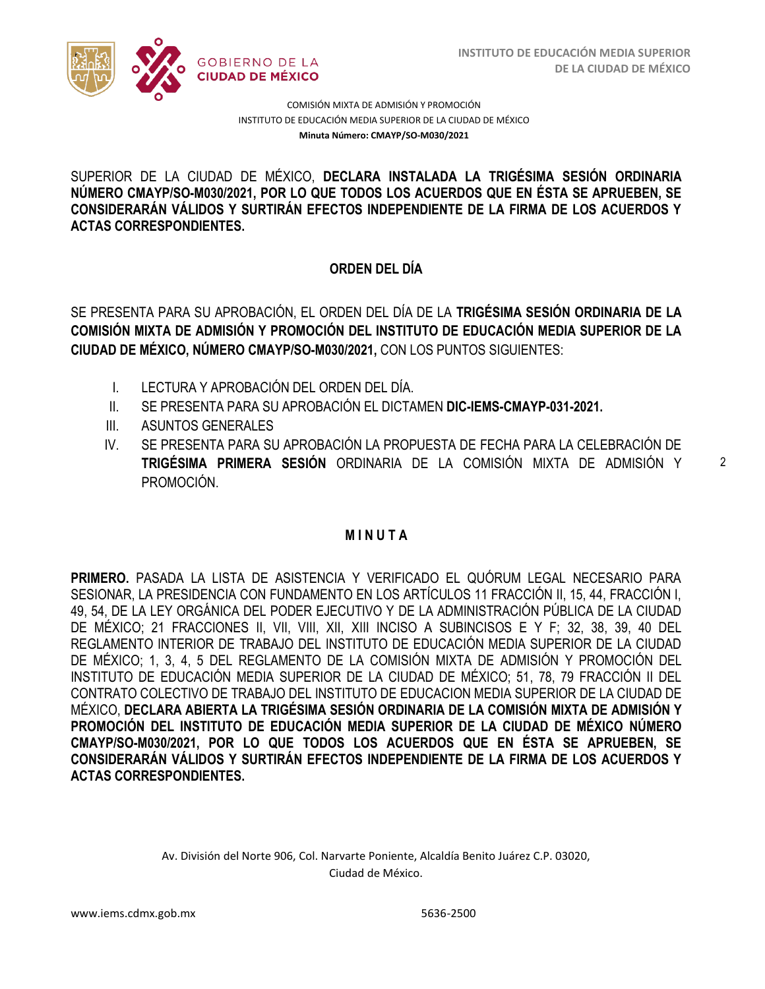

SUPERIOR DE LA CIUDAD DE MÉXICO, **DECLARA INSTALADA LA TRIGÉSIMA SESIÓN ORDINARIA CONSIDERARÁN VÁLIDOS Y SURTIRÁN EFECTOS INDEPENDIENTE DE LA FIRMA DE LOS ACUERDOS Y NÚMERO CMAYP/SO-M030/2021, POR LO QUE TODOS LOS ACUERDOS QUE EN ÉSTA SE APRUEBEN, SE ACTAS CORRESPONDIENTES.**

## **ORDEN DEL DÍA**

SE PRESENTA PARA SU APROBACIÓN, EL ORDEN DEL DÍA DE LA **TRIGÉSIMA SESIÓN ORDINARIA DE LA COMISIÓN MIXTA DE ADMISIÓN Y PROMOCIÓN DEL INSTITUTO DE EDUCACIÓN MEDIA SUPERIOR DE LA CIUDAD DE MÉXICO, NÚMERO CMAYP/SO-M030/2021,** CON LOS PUNTOS SIGUIENTES:

- I. LECTURA Y APROBACIÓN DEL ORDEN DEL DÍA.
- II. SE PRESENTA PARA SU APROBACIÓN EL DICTAMEN **DIC-IEMS-CMAYP-031-2021.**
- III. ASUNTOS GENERALES
- IV. SE PRESENTA PARA SU APROBACIÓN LA PROPUESTA DE FECHA PARA LA CELEBRACIÓN DE **TRIGÉSIMA PRIMERA SESIÓN** ORDINARIA DE LA COMISIÓN MIXTA DE ADMISIÓN Y PROMOCIÓN.

## **M I N U T A**

**PRIMERO.** PASADA LA LISTA DE ASISTENCIA Y VERIFICADO EL QUÓRUM LEGAL NECESARIO PARA SESIONAR, LA PRESIDENCIA CON FUNDAMENTO EN LOS ARTÍCULOS 11 FRACCIÓN II, 15, 44, FRACCIÓN I, 49, 54, DE LA LEY ORGÁNICA DEL PODER EJECUTIVO Y DE LA ADMINISTRACIÓN PÚBLICA DE LA CIUDAD DE MÉXICO; 21 FRACCIONES II, VII, VIII, XII, XIII INCISO A SUBINCISOS E Y F; 32, 38, 39, 40 DEL REGLAMENTO INTERIOR DE TRABAJO DEL INSTITUTO DE EDUCACIÓN MEDIA SUPERIOR DE LA CIUDAD DE MÉXICO; 1, 3, 4, 5 DEL REGLAMENTO DE LA COMISIÓN MIXTA DE ADMISIÓN Y PROMOCIÓN DEL INSTITUTO DE EDUCACIÓN MEDIA SUPERIOR DE LA CIUDAD DE MÉXICO; 51, 78, 79 FRACCIÓN II DEL CONTRATO COLECTIVO DE TRABAJO DEL INSTITUTO DE EDUCACION MEDIA SUPERIOR DE LA CIUDAD DE MÉXICO, **DECLARA ABIERTA LA TRIGÉSIMA SESIÓN ORDINARIA DE LA COMISIÓN MIXTA DE ADMISIÓN Y PROMOCIÓN DEL INSTITUTO DE EDUCACIÓN MEDIA SUPERIOR DE LA CIUDAD DE MÉXICO NÚMERO CMAYP/SO-M030/2021, POR LO QUE TODOS LOS ACUERDOS QUE EN ÉSTA SE APRUEBEN, SE CONSIDERARÁN VÁLIDOS Y SURTIRÁN EFECTOS INDEPENDIENTE DE LA FIRMA DE LOS ACUERDOS Y ACTAS CORRESPONDIENTES.**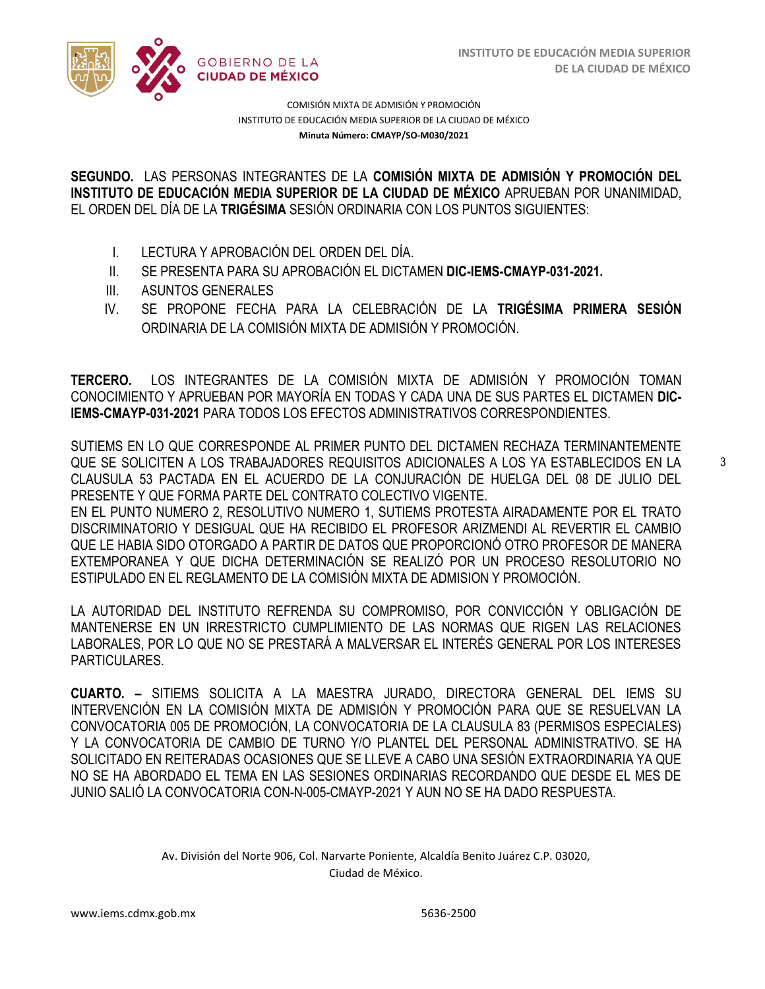

**SEGUNDO.** LAS PERSONAS INTEGRANTES DE LA **COMISIÓN MIXTA DE ADMISIÓN Y PROMOCIÓN DEL**  EL ORDEN DEL DÍA DE LA **TRIGÉSIMA** SESIÓN ORDINARIA CON LOS PUNTOS SIGUIENTES: **INSTITUTO DE EDUCACIÓN MEDIA SUPERIOR DE LA CIUDAD DE MÉXICO** APRUEBAN POR UNANIMIDAD,

- I. LECTURA Y APROBACIÓN DEL ORDEN DEL DÍA.
- II. SE PRESENTA PARA SU APROBACIÓN EL DICTAMEN **DIC-IEMS-CMAYP-031-2021.**
- III. ASUNTOS GENERALES
- IV. SE PROPONE FECHA PARA LA CELEBRACIÓN DE LA **TRIGÉSIMA PRIMERA SESIÓN** ORDINARIA DE LA COMISIÓN MIXTA DE ADMISIÓN Y PROMOCIÓN.

**TERCERO.** LOS INTEGRANTES DE LA COMISIÓN MIXTA DE ADMISIÓN Y PROMOCIÓN TOMAN CONOCIMIENTO Y APRUEBAN POR MAYORÍA EN TODAS Y CADA UNA DE SUS PARTES EL DICTAMEN **DIC-IEMS-CMAYP-031-2021** PARA TODOS LOS EFECTOS ADMINISTRATIVOS CORRESPONDIENTES.

SUTIEMS EN LO QUE CORRESPONDE AL PRIMER PUNTO DEL DICTAMEN RECHAZA TERMINANTEMENTE QUE SE SOLICITEN A LOS TRABAJADORES REQUISITOS ADICIONALES A LOS YA ESTABLECIDOS EN LA CLAUSULA 53 PACTADA EN EL ACUERDO DE LA CONJURACIÓN DE HUELGA DEL 08 DE JULIO DEL PRESENTE Y QUE FORMA PARTE DEL CONTRATO COLECTIVO VIGENTE.

EN EL PUNTO NUMERO 2, RESOLUTIVO NUMERO 1, SUTIEMS PROTESTA AIRADAMENTE POR EL TRATO DISCRIMINATORIO Y DESIGUAL QUE HA RECIBIDO EL PROFESOR ARIZMENDI AL REVERTIR EL CAMBIO QUE LE HABIA SIDO OTORGADO A PARTIR DE DATOS QUE PROPORCIONÓ OTRO PROFESOR DE MANERA EXTEMPORANEA Y QUE DICHA DETERMINACIÓN SE REALIZÓ POR UN PROCESO RESOLUTORIO NO ESTIPULADO EN EL REGLAMENTO DE LA COMISIÓN MIXTA DE ADMISION Y PROMOCIÓN.

LA AUTORIDAD DEL INSTITUTO REFRENDA SU COMPROMISO, POR CONVICCIÓN Y OBLIGACIÓN DE MANTENERSE EN UN IRRESTRICTO CUMPLIMIENTO DE LAS NORMAS QUE RIGEN LAS RELACIONES LABORALES, POR LO QUE NO SE PRESTARÁ A MALVERSAR EL INTERÉS GENERAL POR LOS INTERESES PARTICULARES.

**CUARTO. –** SITIEMS SOLICITA A LA MAESTRA JURADO, DIRECTORA GENERAL DEL IEMS SU INTERVENCIÓN EN LA COMISIÓN MIXTA DE ADMISIÓN Y PROMOCIÓN PARA QUE SE RESUELVAN LA CONVOCATORIA 005 DE PROMOCIÓN, LA CONVOCATORIA DE LA CLAUSULA 83 (PERMISOS ESPECIALES) Y LA CONVOCATORIA DE CAMBIO DE TURNO Y/O PLANTEL DEL PERSONAL ADMINISTRATIVO. SE HA SOLICITADO EN REITERADAS OCASIONES QUE SE LLEVE A CABO UNA SESIÓN EXTRAORDINARIA YA QUE NO SE HA ABORDADO EL TEMA EN LAS SESIONES ORDINARIAS RECORDANDO QUE DESDE EL MES DE JUNIO SALIÓ LA CONVOCATORIA CON-N-005-CMAYP-2021 Y AUN NO SE HA DADO RESPUESTA.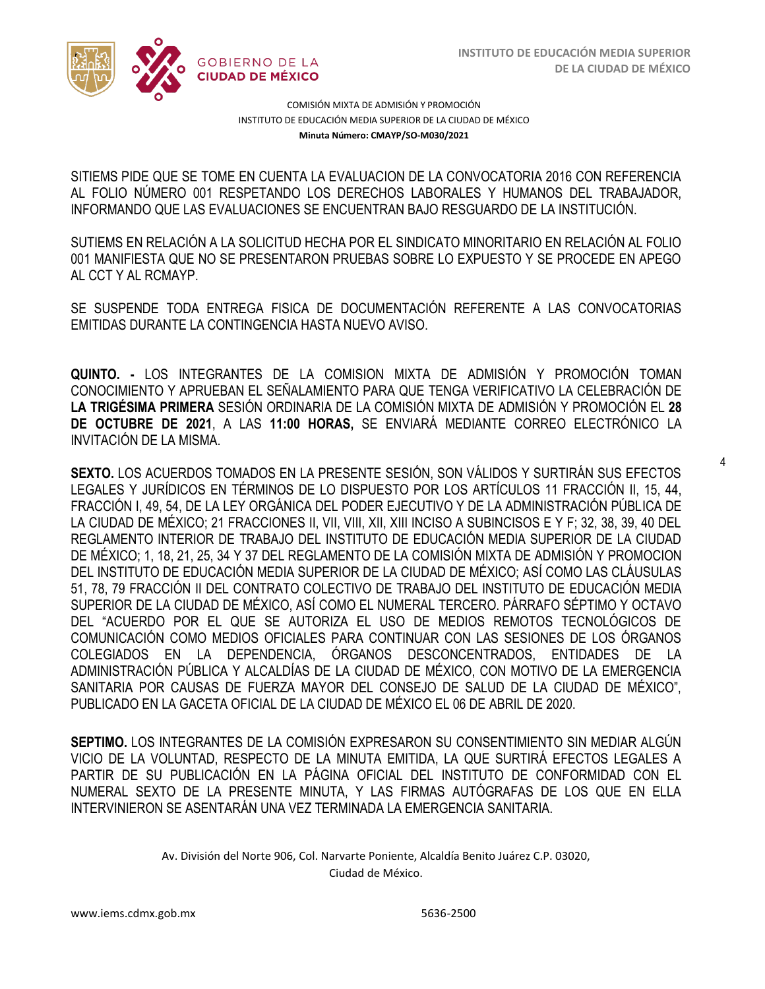4



COMISIÓN MIXTA DE ADMISIÓN Y PROMOCIÓN INSTITUTO DE EDUCACIÓN MEDIA SUPERIOR DE LA CIUDAD DE MÉXICO **Minuta Número: CMAYP/SO-M030/2021**

SITIEMS PIDE QUE SE TOME EN CUENTA LA EVALUACION DE LA CONVOCATORIA 2016 CON REFERENCIA  INFORMANDO QUE LAS EVALUACIONES SE ENCUENTRAN BAJO RESGUARDO DE LA INSTITUCIÓN. AL FOLIO NÚMERO 001 RESPETANDO LOS DERECHOS LABORALES Y HUMANOS DEL TRABAJADOR,

SUTIEMS EN RELACIÓN A LA SOLICITUD HECHA POR EL SINDICATO MINORITARIO EN RELACIÓN AL FOLIO 001 MANIFIESTA QUE NO SE PRESENTARON PRUEBAS SOBRE LO EXPUESTO Y SE PROCEDE EN APEGO AL CCT Y AL RCMAYP.

SE SUSPENDE TODA ENTREGA FISICA DE DOCUMENTACIÓN REFERENTE A LAS CONVOCATORIAS EMITIDAS DURANTE LA CONTINGENCIA HASTA NUEVO AVISO.

**QUINTO. -** LOS INTEGRANTES DE LA COMISION MIXTA DE ADMISIÓN Y PROMOCIÓN TOMAN CONOCIMIENTO Y APRUEBAN EL SEÑALAMIENTO PARA QUE TENGA VERIFICATIVO LA CELEBRACIÓN DE **LA TRIGÉSIMA PRIMERA** SESIÓN ORDINARIA DE LA COMISIÓN MIXTA DE ADMISIÓN Y PROMOCIÓN EL **28 DE OCTUBRE DE 2021**, A LAS **11:00 HORAS,** SE ENVIARÁ MEDIANTE CORREO ELECTRÓNICO LA INVITACIÓN DE LA MISMA.

**SEXTO.** LOS ACUERDOS TOMADOS EN LA PRESENTE SESIÓN, SON VÁLIDOS Y SURTIRÁN SUS EFECTOS LEGALES Y JURÍDICOS EN TÉRMINOS DE LO DISPUESTO POR LOS ARTÍCULOS 11 FRACCIÓN II, 15, 44, FRACCIÓN I, 49, 54, DE LA LEY ORGÁNICA DEL PODER EJECUTIVO Y DE LA ADMINISTRACIÓN PÚBLICA DE LA CIUDAD DE MÉXICO; 21 FRACCIONES II, VII, VIII, XII, XIII INCISO A SUBINCISOS E Y F; 32, 38, 39, 40 DEL REGLAMENTO INTERIOR DE TRABAJO DEL INSTITUTO DE EDUCACIÓN MEDIA SUPERIOR DE LA CIUDAD DE MÉXICO; 1, 18, 21, 25, 34 Y 37 DEL REGLAMENTO DE LA COMISIÓN MIXTA DE ADMISIÓN Y PROMOCION DEL INSTITUTO DE EDUCACIÓN MEDIA SUPERIOR DE LA CIUDAD DE MÉXICO; ASÍ COMO LAS CLÁUSULAS 51, 78, 79 FRACCIÓN II DEL CONTRATO COLECTIVO DE TRABAJO DEL INSTITUTO DE EDUCACIÓN MEDIA SUPERIOR DE LA CIUDAD DE MÉXICO, ASÍ COMO EL NUMERAL TERCERO. PÁRRAFO SÉPTIMO Y OCTAVO DEL "ACUERDO POR EL QUE SE AUTORIZA EL USO DE MEDIOS REMOTOS TECNOLÓGICOS DE COMUNICACIÓN COMO MEDIOS OFICIALES PARA CONTINUAR CON LAS SESIONES DE LOS ÓRGANOS COLEGIADOS EN LA DEPENDENCIA, ÓRGANOS DESCONCENTRADOS, ENTIDADES DE LA ADMINISTRACIÓN PÚBLICA Y ALCALDÍAS DE LA CIUDAD DE MÉXICO, CON MOTIVO DE LA EMERGENCIA SANITARIA POR CAUSAS DE FUERZA MAYOR DEL CONSEJO DE SALUD DE LA CIUDAD DE MÉXICO", PUBLICADO EN LA GACETA OFICIAL DE LA CIUDAD DE MÉXICO EL 06 DE ABRIL DE 2020.

**SEPTIMO.** LOS INTEGRANTES DE LA COMISIÓN EXPRESARON SU CONSENTIMIENTO SIN MEDIAR ALGÚN VICIO DE LA VOLUNTAD, RESPECTO DE LA MINUTA EMITIDA, LA QUE SURTIRÁ EFECTOS LEGALES A PARTIR DE SU PUBLICACIÓN EN LA PÁGINA OFICIAL DEL INSTITUTO DE CONFORMIDAD CON EL NUMERAL SEXTO DE LA PRESENTE MINUTA, Y LAS FIRMAS AUTÓGRAFAS DE LOS QUE EN ELLA INTERVINIERON SE ASENTARÁN UNA VEZ TERMINADA LA EMERGENCIA SANITARIA.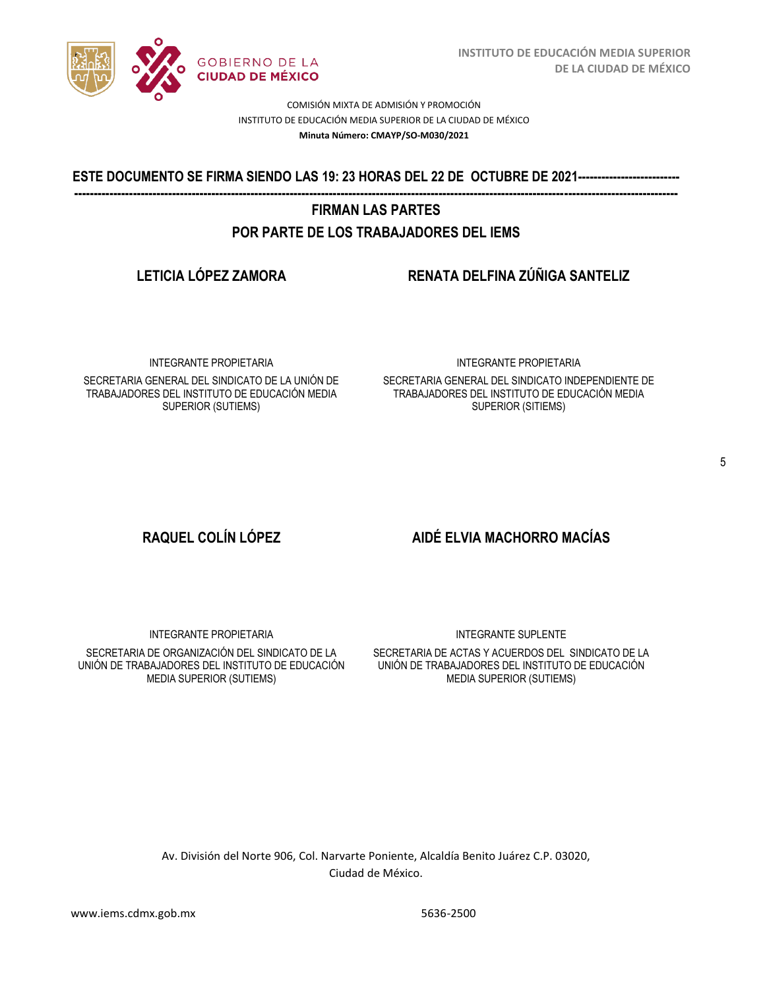

/2020 **ESTE DOCUMENTO SE FIRMA SIENDO LAS 19: 23 HORAS DEL 22 DE OCTUBRE DE 2021-------------------------- ----------------------------------------------------------------------------------------------------------------------------------------------------------** 

# **FIRMAN LAS PARTES POR PARTE DE LOS TRABAJADORES DEL IEMS**

# **LETICIA LÓPEZ ZAMORA RENATA DELFINA ZÚÑIGA SANTELIZ**

INTEGRANTE PROPIETARIA

SECRETARIA GENERAL DEL SINDICATO DE LA UNIÓN DE TRABAJADORES DEL INSTITUTO DE EDUCACIÓN MEDIA SUPERIOR (SUTIEMS)

### INTEGRANTE PROPIETARIA

SECRETARIA GENERAL DEL SINDICATO INDEPENDIENTE DE TRABAJADORES DEL INSTITUTO DE EDUCACIÓN MEDIA SUPERIOR (SITIEMS)

# **RAQUEL COLÍN LÓPEZ AIDÉ ELVIA MACHORRO MACÍAS**

INTEGRANTE PROPIETARIA SECRETARIA DE ORGANIZACIÓN DEL SINDICATO DE LA UNIÓN DE TRABAJADORES DEL INSTITUTO DE EDUCACIÓN MEDIA SUPERIOR (SUTIEMS)

### INTEGRANTE SUPLENTE

SECRETARIA DE ACTAS Y ACUERDOS DEL SINDICATO DE LA UNIÓN DE TRABAJADORES DEL INSTITUTO DE EDUCACIÓN MEDIA SUPERIOR (SUTIEMS)